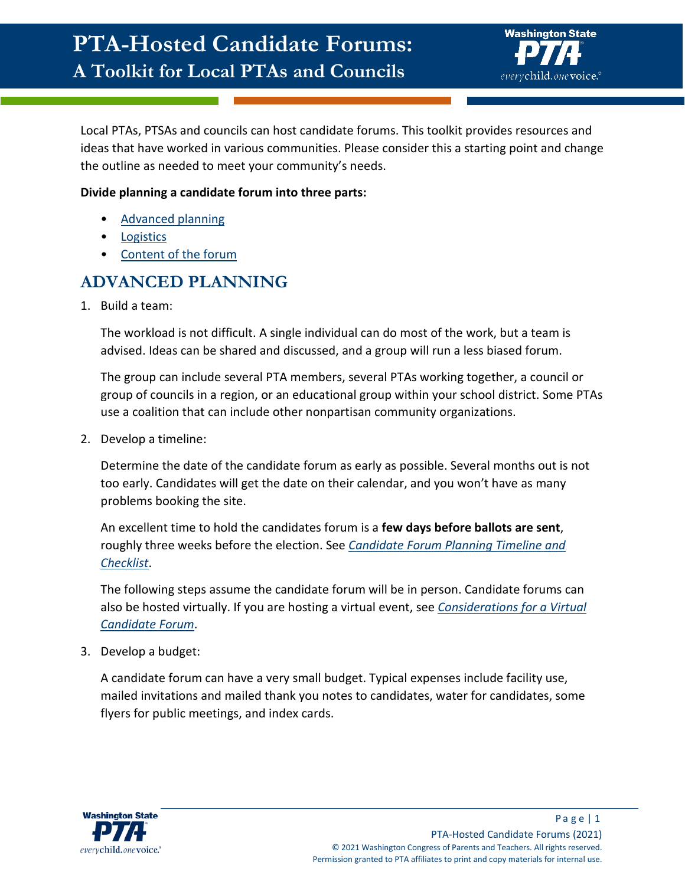

Local PTAs, PTSAs and councils can host candidate forums. This toolkit provides resources and ideas that have worked in various communities. Please consider this a starting point and change the outline as needed to meet your community's needs.

#### **Divide planning a candidate forum into three parts:**

- [Advanced planning](#page-0-0)
- **[Logistics](#page-1-0)**
- [Content of the forum](#page-3-0)

## <span id="page-0-0"></span>**ADVANCED PLANNING**

1. Build a team:

The workload is not difficult. A single individual can do most of the work, but a team is advised. Ideas can be shared and discussed, and a group will run a less biased forum.

The group can include several PTA members, several PTAs working together, a council or group of councils in a region, or an educational group within your school district. Some PTAs use a coalition that can include other nonpartisan community organizations.

2. Develop a timeline:

Determine the date of the candidate forum as early as possible. Several months out is not too early. Candidates will get the date on their calendar, and you won't have as many problems booking the site.

An excellent time to hold the candidates forum is a **few days before ballots are sent**, roughly three weeks before the election. See *[Candidate Forum Planning Timeline and](#page-7-0)  [Checklist](#page-7-0)*.

The following steps assume the candidate forum will be in person. Candidate forums can also be hosted virtually. If you are hosting a virtual event, see *[Considerations for a Virtual](#page-6-0)  [Candidate Forum](#page-6-0)*.

3. Develop a budget:

A candidate forum can have a very small budget. Typical expenses include facility use, mailed invitations and mailed thank you notes to candidates, water for candidates, some flyers for public meetings, and index cards.

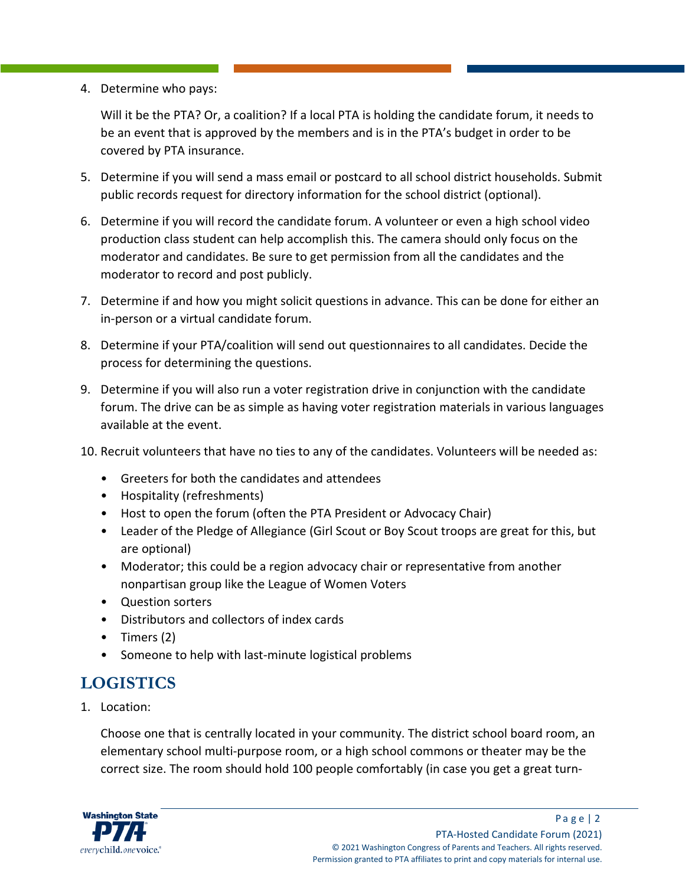4. Determine who pays:

Will it be the PTA? Or, a coalition? If a local PTA is holding the candidate forum, it needs to be an event that is approved by the members and is in the PTA's budget in order to be covered by PTA insurance.

- 5. Determine if you will send a mass email or postcard to all school district households. Submit public records request for directory information for the school district (optional).
- 6. Determine if you will record the candidate forum. A volunteer or even a high school video production class student can help accomplish this. The camera should only focus on the moderator and candidates. Be sure to get permission from all the candidates and the moderator to record and post publicly.
- 7. Determine if and how you might solicit questions in advance. This can be done for either an in-person or a virtual candidate forum.
- 8. Determine if your PTA/coalition will send out questionnaires to all candidates. Decide the process for determining the questions.
- 9. Determine if you will also run a voter registration drive in conjunction with the candidate forum. The drive can be as simple as having voter registration materials in various languages available at the event.
- 10. Recruit volunteers that have no ties to any of the candidates. Volunteers will be needed as:
	- Greeters for both the candidates and attendees
	- Hospitality (refreshments)
	- Host to open the forum (often the PTA President or Advocacy Chair)
	- Leader of the Pledge of Allegiance (Girl Scout or Boy Scout troops are great for this, but are optional)
	- Moderator; this could be a region advocacy chair or representative from another nonpartisan group like the League of Women Voters
	- Question sorters
	- Distributors and collectors of index cards
	- Timers (2)
	- Someone to help with last-minute logistical problems

## <span id="page-1-0"></span>**LOGISTICS**

1. Location:

Choose one that is centrally located in your community. The district school board room, an elementary school multi-purpose room, or a high school commons or theater may be the correct size. The room should hold 100 people comfortably (in case you get a great turn-

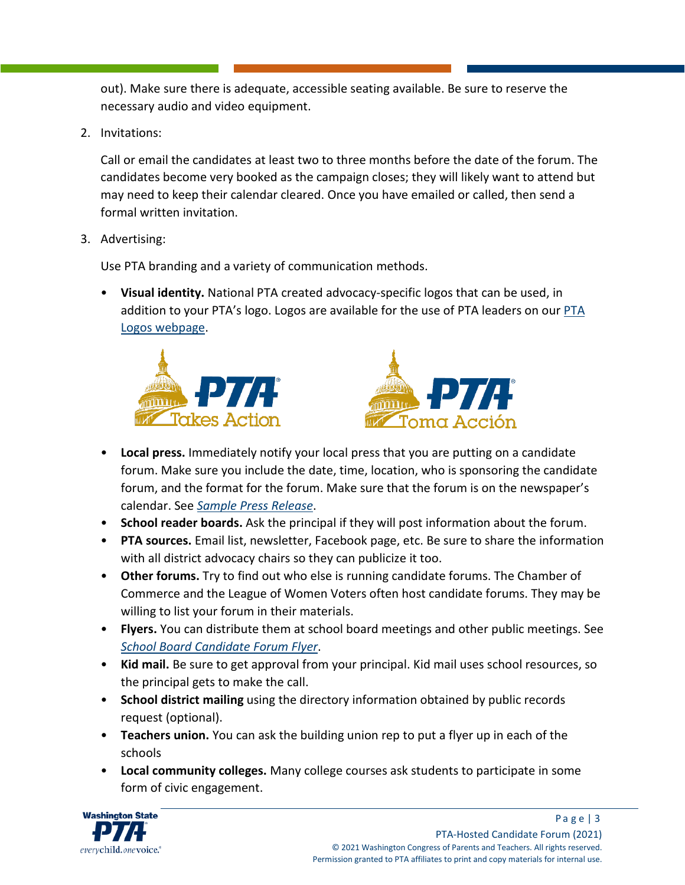out). Make sure there is adequate, accessible seating available. Be sure to reserve the necessary audio and video equipment.

2. Invitations:

Call or email the candidates at least two to three months before the date of the forum. The candidates become very booked as the campaign closes; they will likely want to attend but may need to keep their calendar cleared. Once you have emailed or called, then send a formal written invitation.

3. Advertising:

Use PTA branding and a variety of communication methods.

• **Visual identity.** National PTA created advocacy-specific logos that can be used, in addition to your PTA's logo. Logos are available for the use of PTA leaders on our [PTA](https://www.wastatepta.org/pta-leaders/leader-resources/pta-logos/)  [Logos webpage.](https://www.wastatepta.org/pta-leaders/leader-resources/pta-logos/)





- **Local press.** Immediately notify your local press that you are putting on a candidate forum. Make sure you include the date, time, location, who is sponsoring the candidate forum, and the format for the forum. Make sure that the forum is on the newspaper's calendar. See *[Sample Press Release](#page-10-0)*.
- **School reader boards.** Ask the principal if they will post information about the forum.
- **PTA sources.** Email list, newsletter, Facebook page, etc. Be sure to share the information with all district advocacy chairs so they can publicize it too.
- **Other forums.** Try to find out who else is running candidate forums. The Chamber of Commerce and the League of Women Voters often host candidate forums. They may be willing to list your forum in their materials.
- **Flyers.** You can distribute them at school board meetings and other public meetings. See *[School Board Candidate Forum Flyer](#page-11-0)*.
- **Kid mail.** Be sure to get approval from your principal. Kid mail uses school resources, so the principal gets to make the call.
- **School district mailing** using the directory information obtained by public records request (optional).
- **Teachers union.** You can ask the building union rep to put a flyer up in each of the schools
- **Local community colleges.** Many college courses ask students to participate in some form of civic engagement.

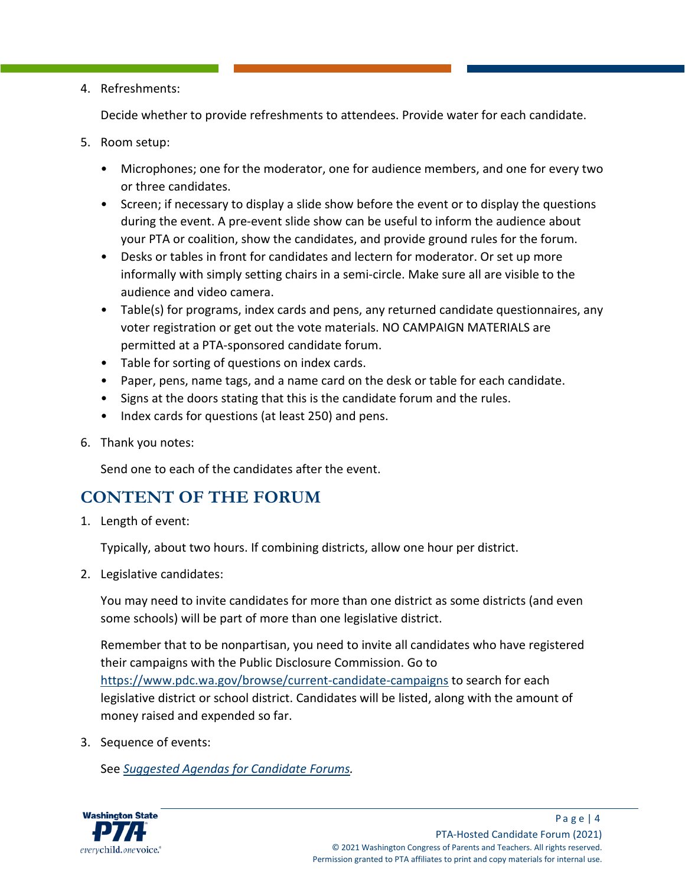#### 4. Refreshments:

Decide whether to provide refreshments to attendees. Provide water for each candidate.

- 5. Room setup:
	- Microphones; one for the moderator, one for audience members, and one for every two or three candidates.
	- Screen; if necessary to display a slide show before the event or to display the questions during the event. A pre-event slide show can be useful to inform the audience about your PTA or coalition, show the candidates, and provide ground rules for the forum.
	- Desks or tables in front for candidates and lectern for moderator. Or set up more informally with simply setting chairs in a semi-circle. Make sure all are visible to the audience and video camera.
	- Table(s) for programs, index cards and pens, any returned candidate questionnaires, any voter registration or get out the vote materials. NO CAMPAIGN MATERIALS are permitted at a PTA-sponsored candidate forum.
	- Table for sorting of questions on index cards.
	- Paper, pens, name tags, and a name card on the desk or table for each candidate.
	- Signs at the doors stating that this is the candidate forum and the rules.
	- Index cards for questions (at least 250) and pens.
- 6. Thank you notes:

Send one to each of the candidates after the event.

## <span id="page-3-0"></span>**CONTENT OF THE FORUM**

1. Length of event:

Typically, about two hours. If combining districts, allow one hour per district.

2. Legislative candidates:

You may need to invite candidates for more than one district as some districts (and even some schools) will be part of more than one legislative district.

Remember that to be nonpartisan, you need to invite all candidates who have registered their campaigns with the Public Disclosure Commission. Go to <https://www.pdc.wa.gov/browse/current-candidate-campaigns> to search for each legislative district or school district. Candidates will be listed, along with the amount of money raised and expended so far.

3. Sequence of events:

See *[Suggested Agendas for Candidate Forums.](#page-9-0)*

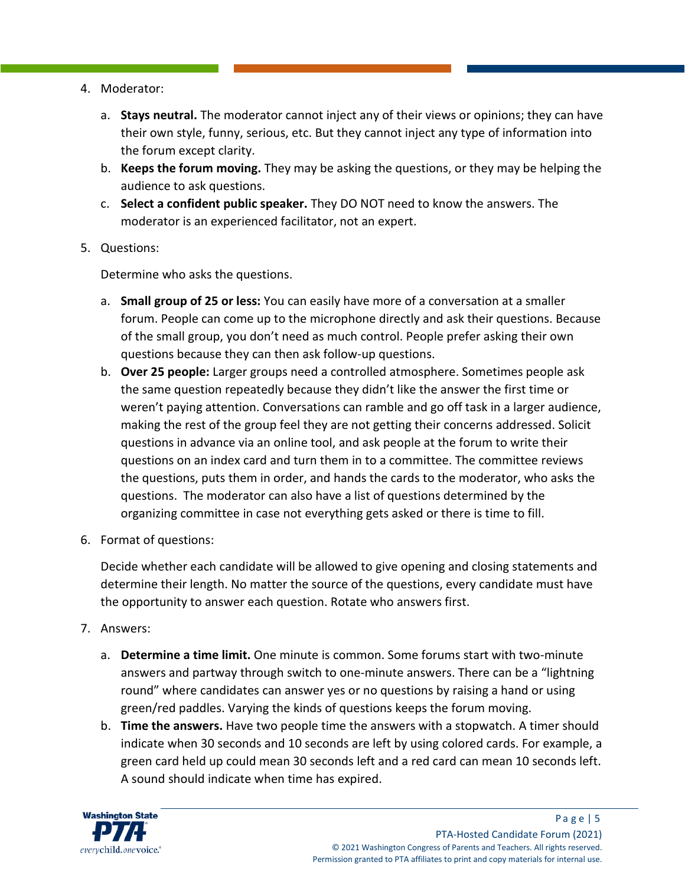- 4. Moderator:
	- a. **Stays neutral.** The moderator cannot inject any of their views or opinions; they can have their own style, funny, serious, etc. But they cannot inject any type of information into the forum except clarity.
	- b. **Keeps the forum moving.** They may be asking the questions, or they may be helping the audience to ask questions.
	- c. **Select a confident public speaker.** They DO NOT need to know the answers. The moderator is an experienced facilitator, not an expert.
- 5. Questions:

Determine who asks the questions.

- a. **Small group of 25 or less:** You can easily have more of a conversation at a smaller forum. People can come up to the microphone directly and ask their questions. Because of the small group, you don't need as much control. People prefer asking their own questions because they can then ask follow-up questions.
- b. **Over 25 people:** Larger groups need a controlled atmosphere. Sometimes people ask the same question repeatedly because they didn't like the answer the first time or weren't paying attention. Conversations can ramble and go off task in a larger audience, making the rest of the group feel they are not getting their concerns addressed. Solicit questions in advance via an online tool, and ask people at the forum to write their questions on an index card and turn them in to a committee. The committee reviews the questions, puts them in order, and hands the cards to the moderator, who asks the questions. The moderator can also have a list of questions determined by the organizing committee in case not everything gets asked or there is time to fill.
- 6. Format of questions:

Decide whether each candidate will be allowed to give opening and closing statements and determine their length. No matter the source of the questions, every candidate must have the opportunity to answer each question. Rotate who answers first.

- 7. Answers:
	- a. **Determine a time limit.** One minute is common. Some forums start with two-minute answers and partway through switch to one-minute answers. There can be a "lightning round" where candidates can answer yes or no questions by raising a hand or using green/red paddles. Varying the kinds of questions keeps the forum moving.
	- b. **Time the answers.** Have two people time the answers with a stopwatch. A timer should indicate when 30 seconds and 10 seconds are left by using colored cards. For example, a green card held up could mean 30 seconds left and a red card can mean 10 seconds left. A sound should indicate when time has expired.

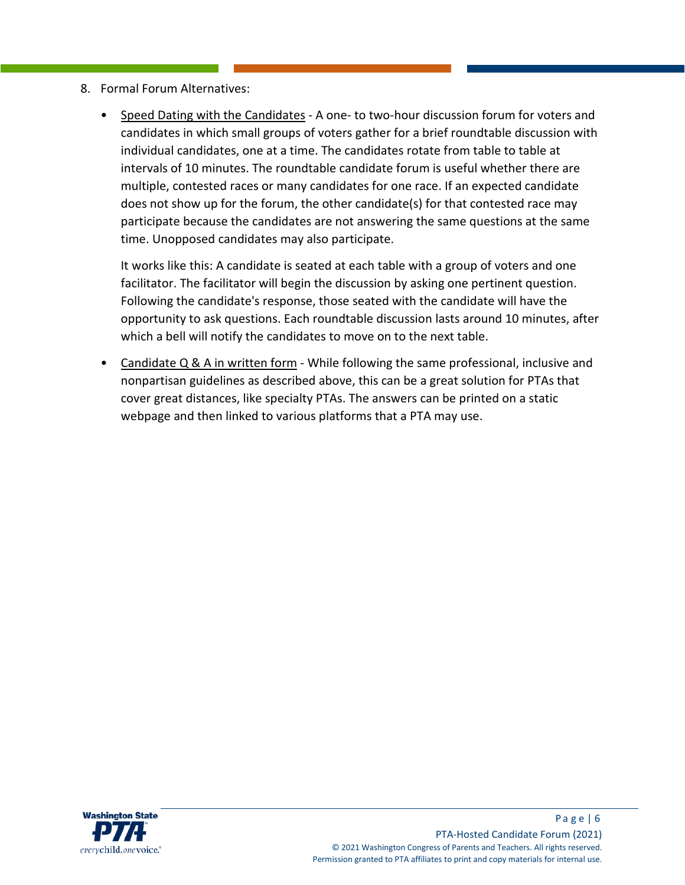- 8. Formal Forum Alternatives:
	- Speed Dating with the Candidates A one- to two-hour discussion forum for voters and candidates in which small groups of voters gather for a brief roundtable discussion with individual candidates, one at a time. The candidates rotate from table to table at intervals of 10 minutes. The roundtable candidate forum is useful whether there are multiple, contested races or many candidates for one race. If an expected candidate does not show up for the forum, the other candidate(s) for that contested race may participate because the candidates are not answering the same questions at the same time. Unopposed candidates may also participate.

It works like this: A candidate is seated at each table with a group of voters and one facilitator. The facilitator will begin the discussion by asking one pertinent question. Following the candidate's response, those seated with the candidate will have the opportunity to ask questions. Each roundtable discussion lasts around 10 minutes, after which a bell will notify the candidates to move on to the next table.

• Candidate Q & A in written form - While following the same professional, inclusive and nonpartisan guidelines as described above, this can be a great solution for PTAs that cover great distances, like specialty PTAs. The answers can be printed on a static webpage and then linked to various platforms that a PTA may use.

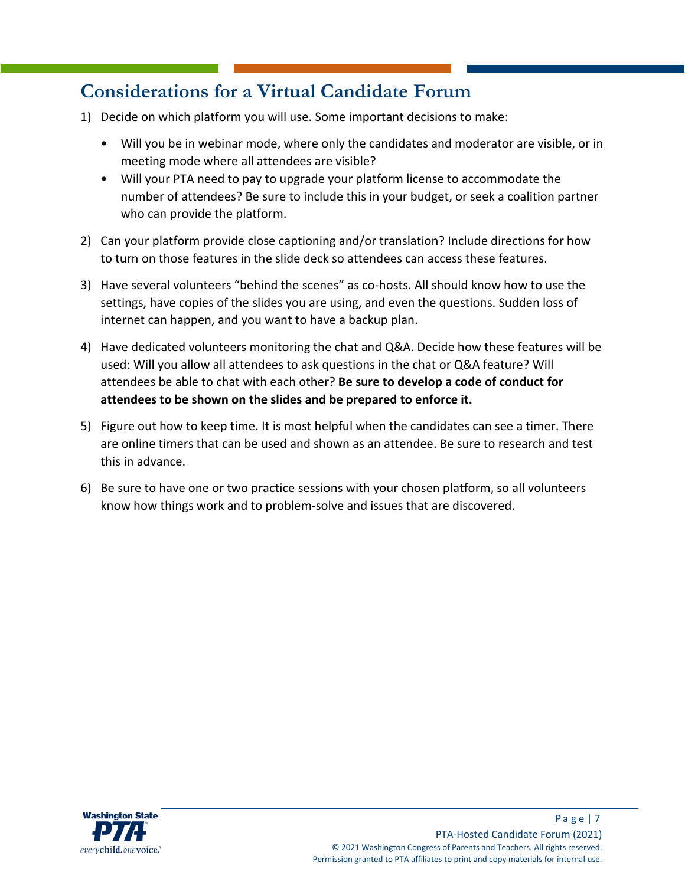# <span id="page-6-0"></span>**Considerations for a Virtual Candidate Forum**

- 1) Decide on which platform you will use. Some important decisions to make:
	- Will you be in webinar mode, where only the candidates and moderator are visible, or in meeting mode where all attendees are visible?
	- Will your PTA need to pay to upgrade your platform license to accommodate the number of attendees? Be sure to include this in your budget, or seek a coalition partner who can provide the platform.
- 2) Can your platform provide close captioning and/or translation? Include directions for how to turn on those features in the slide deck so attendees can access these features.
- 3) Have several volunteers "behind the scenes" as co-hosts. All should know how to use the settings, have copies of the slides you are using, and even the questions. Sudden loss of internet can happen, and you want to have a backup plan.
- 4) Have dedicated volunteers monitoring the chat and Q&A. Decide how these features will be used: Will you allow all attendees to ask questions in the chat or Q&A feature? Will attendees be able to chat with each other? **Be sure to develop a code of conduct for attendees to be shown on the slides and be prepared to enforce it.**
- 5) Figure out how to keep time. It is most helpful when the candidates can see a timer. There are online timers that can be used and shown as an attendee. Be sure to research and test this in advance.
- 6) Be sure to have one or two practice sessions with your chosen platform, so all volunteers know how things work and to problem-solve and issues that are discovered.

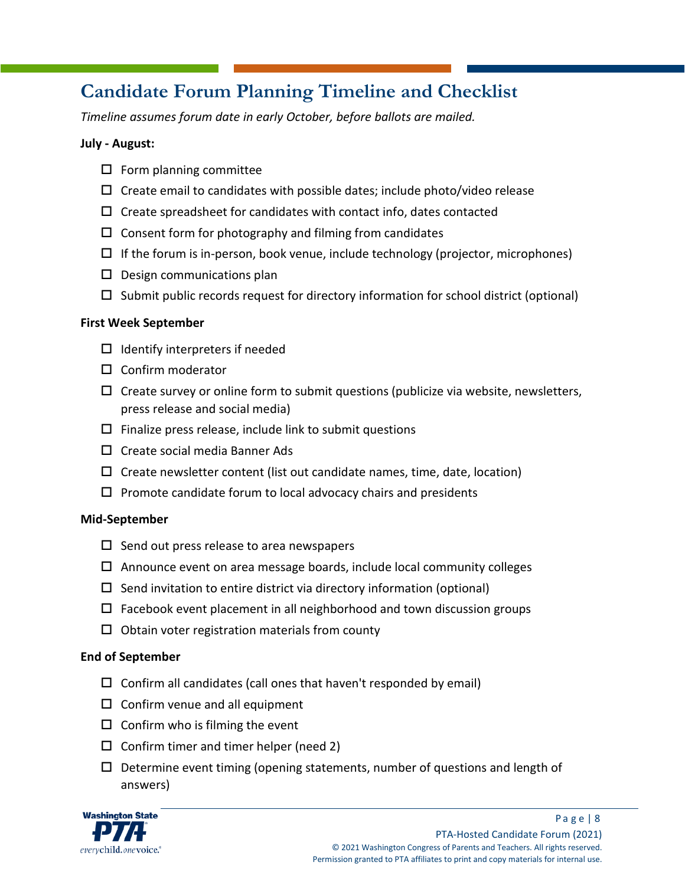# <span id="page-7-0"></span>**Candidate Forum Planning Timeline and Checklist**

*Timeline assumes forum date in early October, before ballots are mailed.*

#### **July - August:**

- $\square$  Form planning committee
- $\Box$  Create email to candidates with possible dates; include photo/video release
- $\Box$  Create spreadsheet for candidates with contact info, dates contacted
- $\Box$  Consent form for photography and filming from candidates
- $\Box$  If the forum is in-person, book venue, include technology (projector, microphones)
- $\square$  Design communications plan
- $\Box$  Submit public records request for directory information for school district (optional)

#### **First Week September**

- $\Box$  Identify interpreters if needed
- $\square$  Confirm moderator
- $\Box$  Create survey or online form to submit questions (publicize via website, newsletters, press release and social media)
- $\square$  Finalize press release, include link to submit questions
- $\Box$  Create social media Banner Ads
- $\Box$  Create newsletter content (list out candidate names, time, date, location)
- $\Box$  Promote candidate forum to local advocacy chairs and presidents

#### **Mid-September**

- $\square$  Send out press release to area newspapers
- $\Box$  Announce event on area message boards, include local community colleges
- $\square$  Send invitation to entire district via directory information (optional)
- $\Box$  Facebook event placement in all neighborhood and town discussion groups
- $\Box$  Obtain voter registration materials from county

#### **End of September**

- $\Box$  Confirm all candidates (call ones that haven't responded by email)
- $\square$  Confirm venue and all equipment
- $\Box$  Confirm who is filming the event
- $\Box$  Confirm timer and timer helper (need 2)
- $\square$  Determine event timing (opening statements, number of questions and length of answers)

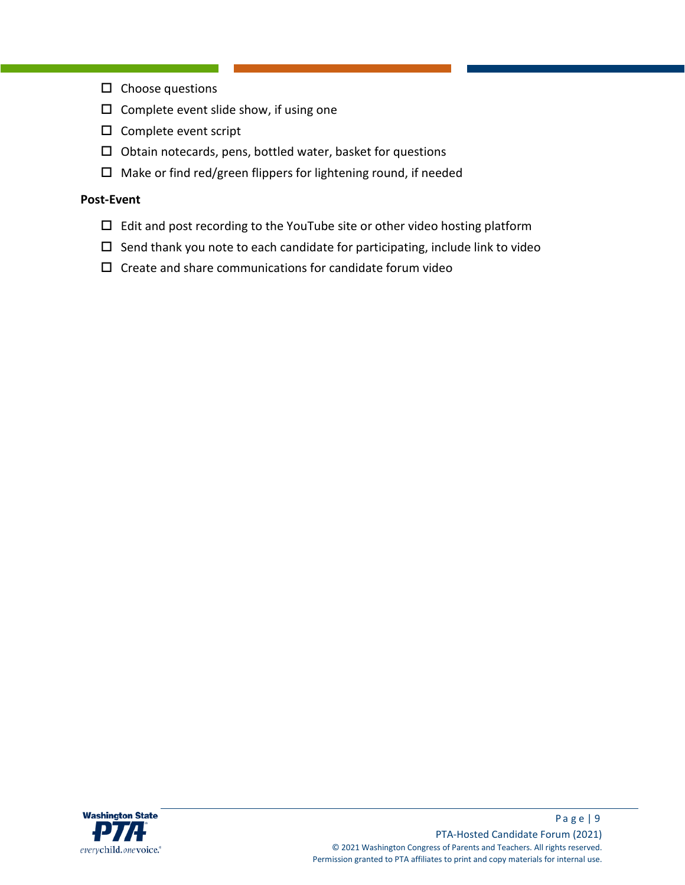- $\square$  Choose questions
- $\square$  Complete event slide show, if using one
- $\square$  Complete event script
- $\Box$  Obtain notecards, pens, bottled water, basket for questions
- $\square$  Make or find red/green flippers for lightening round, if needed

#### **Post-Event**

- $\Box$  Edit and post recording to the YouTube site or other video hosting platform
- $\square$  Send thank you note to each candidate for participating, include link to video
- $\square$  Create and share communications for candidate forum video

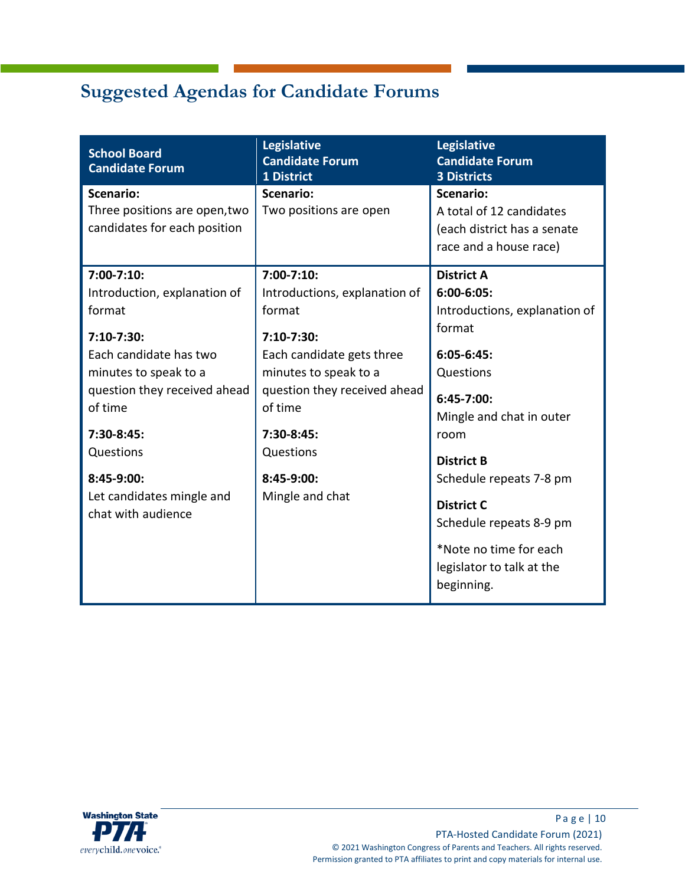# <span id="page-9-0"></span>**Suggested Agendas for Candidate Forums**

| <b>School Board</b><br><b>Candidate Forum</b>                                                                                                                                                                                                                     | <b>Legislative</b><br><b>Candidate Forum</b><br>1 District                                                                                                                                                                            | <b>Legislative</b><br><b>Candidate Forum</b><br><b>3 Districts</b>                                                                                                                                                                                                                                                                |
|-------------------------------------------------------------------------------------------------------------------------------------------------------------------------------------------------------------------------------------------------------------------|---------------------------------------------------------------------------------------------------------------------------------------------------------------------------------------------------------------------------------------|-----------------------------------------------------------------------------------------------------------------------------------------------------------------------------------------------------------------------------------------------------------------------------------------------------------------------------------|
| <b>Scenario:</b><br>Three positions are open, two<br>candidates for each position                                                                                                                                                                                 | <b>Scenario:</b><br>Two positions are open                                                                                                                                                                                            | <b>Scenario:</b><br>A total of 12 candidates<br>(each district has a senate<br>race and a house race)                                                                                                                                                                                                                             |
| $7:00 - 7:10$<br>Introduction, explanation of<br>format<br>7:10-7:30:<br>Each candidate has two<br>minutes to speak to a<br>question they received ahead<br>of time<br>$7:30-8:45:$<br>Questions<br>8:45-9:00:<br>Let candidates mingle and<br>chat with audience | $7:00 - 7:10$<br>Introductions, explanation of<br>format<br>7:10-7:30:<br>Each candidate gets three<br>minutes to speak to a<br>question they received ahead<br>of time<br>$7:30-8:45:$<br>Questions<br>8:45-9:00:<br>Mingle and chat | <b>District A</b><br>$6:00 - 6:05$<br>Introductions, explanation of<br>format<br>$6:05-6:45:$<br>Questions<br>6:45-7:00:<br>Mingle and chat in outer<br>room<br><b>District B</b><br>Schedule repeats 7-8 pm<br><b>District C</b><br>Schedule repeats 8-9 pm<br>*Note no time for each<br>legislator to talk at the<br>beginning. |

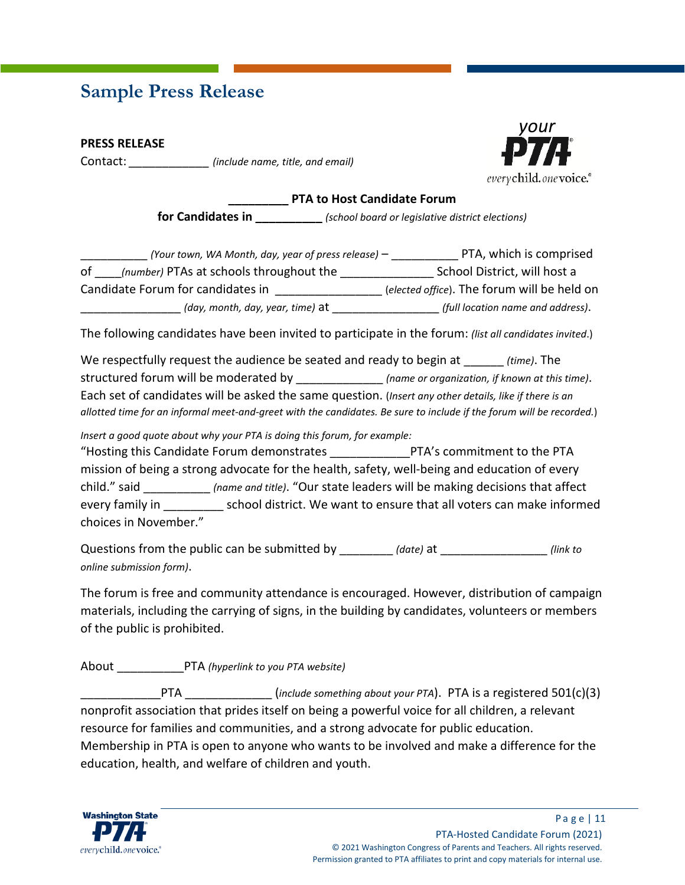## <span id="page-10-0"></span>**Sample Press Release**

**PRESS RELEASE**

Contact: *\_\_\_\_\_\_\_\_\_\_\_\_ (include name, title, and email)*



#### **\_\_\_\_\_\_\_\_\_ PTA to Host Candidate Forum**

**for Candidates in \_\_\_\_\_\_\_\_\_\_** *(school board or legislative district elections)*

| (Your town, WA Month, day, year of press release) $-$ | PTA, which is comprised                     |
|-------------------------------------------------------|---------------------------------------------|
| (number) PTAs at schools throughout the<br>of         | School District, will host a                |
| Candidate Forum for candidates in                     | (elected office). The forum will be held on |
| (day, month, day, year, time) at                      | (full location name and address).           |

The following candidates have been invited to participate in the forum: *(list all candidates invited*.)

We respectfully request the audience be seated and ready to begin at *(time)*. The structured forum will be moderated by \_\_\_\_\_\_\_\_\_\_\_\_\_ *(name or organization, if known at this time)*. Each set of candidates will be asked the same question. (*Insert any other details, like if there is an allotted time for an informal meet-and-greet with the candidates. Be sure to include if the forum will be recorded.*)

*Insert a good quote about why your PTA is doing this forum, for example:*

"Hosting this Candidate Forum demonstrates \_\_\_\_\_\_\_\_\_\_\_\_PTA's commitment to the PTA mission of being a strong advocate for the health, safety, well-being and education of every child." said \_\_\_\_\_\_\_\_\_\_ *(name and title)*. "Our state leaders will be making decisions that affect every family in exchool district. We want to ensure that all voters can make informed choices in November."

Questions from the public can be submitted by \_\_\_\_\_\_\_\_ *(date)* at \_\_\_\_\_\_\_\_\_\_\_\_\_\_\_\_ *(link to online submission form)*.

The forum is free and community attendance is encouraged. However, distribution of campaign materials, including the carrying of signs, in the building by candidates, volunteers or members of the public is prohibited.

About \_\_\_\_\_\_\_\_\_\_PTA *(hyperlink to you PTA website)*

PTA  $\left(\frac{include}{\text{ something about your PTA}}\right)$ . PTA is a registered 501(c)(3) nonprofit association that prides itself on being a powerful voice for all children, a relevant resource for families and communities, and a strong advocate for public education. Membership in PTA is open to anyone who wants to be involved and make a difference for the education, health, and welfare of children and youth.